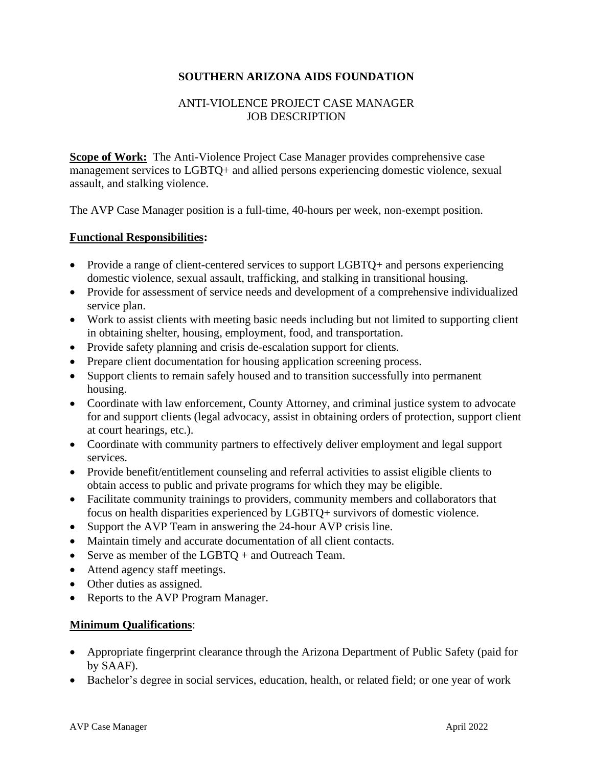# **SOUTHERN ARIZONA AIDS FOUNDATION**

## ANTI-VIOLENCE PROJECT CASE MANAGER JOB DESCRIPTION

**Scope of Work:** The Anti-Violence Project Case Manager provides comprehensive case management services to LGBTQ+ and allied persons experiencing domestic violence, sexual assault, and stalking violence.

The AVP Case Manager position is a full-time, 40-hours per week, non-exempt position.

### **Functional Responsibilities:**

- Provide a range of client-centered services to support LGBTQ+ and persons experiencing domestic violence, sexual assault, trafficking, and stalking in transitional housing.
- Provide for assessment of service needs and development of a comprehensive individualized service plan.
- Work to assist clients with meeting basic needs including but not limited to supporting client in obtaining shelter, housing, employment, food, and transportation.
- Provide safety planning and crisis de-escalation support for clients.
- Prepare client documentation for housing application screening process.
- Support clients to remain safely housed and to transition successfully into permanent housing.
- Coordinate with law enforcement, County Attorney, and criminal justice system to advocate for and support clients (legal advocacy, assist in obtaining orders of protection, support client at court hearings, etc.).
- Coordinate with community partners to effectively deliver employment and legal support services.
- Provide benefit/entitlement counseling and referral activities to assist eligible clients to obtain access to public and private programs for which they may be eligible.
- Facilitate community trainings to providers, community members and collaborators that focus on health disparities experienced by LGBTQ+ survivors of domestic violence.
- Support the AVP Team in answering the 24-hour AVP crisis line.
- Maintain timely and accurate documentation of all client contacts.
- Serve as member of the LGBTQ + and Outreach Team.
- Attend agency staff meetings.
- Other duties as assigned.
- Reports to the AVP Program Manager.

#### **Minimum Qualifications**:

- Appropriate fingerprint clearance through the Arizona Department of Public Safety (paid for by SAAF).
- Bachelor's degree in social services, education, health, or related field; or one year of work